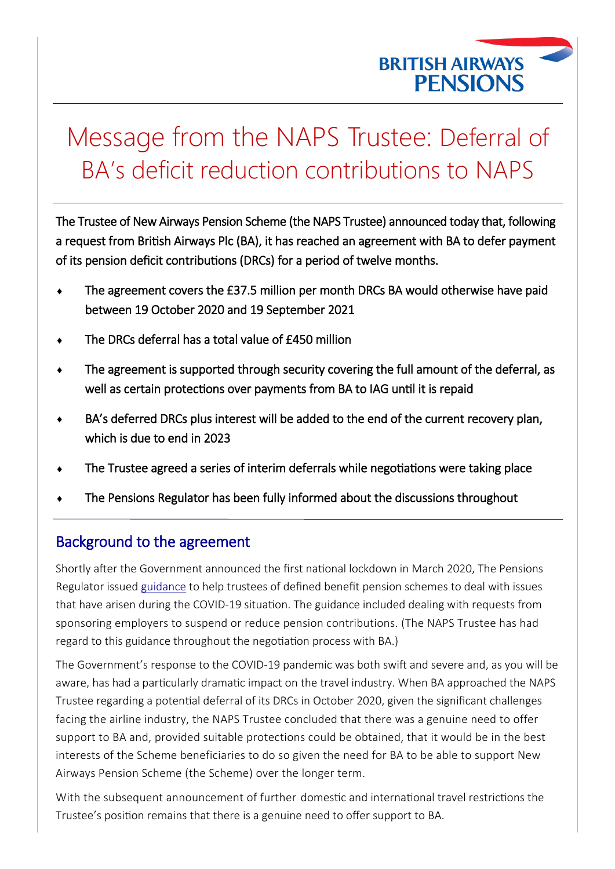

# Message from the NAPS Trustee: Deferral of BA's deficit reduction contributions to NAPS

The Trustee of New Airways Pension Scheme (the NAPS Trustee) announced today that, following a request from British Airways Plc (BA), it has reached an agreement with BA to defer payment of its pension deficit contributions (DRCs) for a period of twelve months.

- The agreement covers the £37.5 million per month DRCs BA would otherwise have paid between 19 October 2020 and 19 September 2021
- The DRCs deferral has a total value of £450 million
- The agreement is supported through security covering the full amount of the deferral, as well as certain protections over payments from BA to IAG until it is repaid
- BA's deferred DRCs plus interest will be added to the end of the current recovery plan, which is due to end in 2023
- The Trustee agreed a series of interim deferrals while negotiations were taking place
- The Pensions Regulator has been fully informed about the discussions throughout

## Background to the agreement

Shortly after the Government announced the first national lockdown in March 2020, The Pensions Regulator issued [guidance](https://www.thepensionsregulator.gov.uk/en/covid-19-coronavirus-what-you-need-to-consider/db-scheme-funding-and-investment-covid-19-guidance-for-trustees) to help trustees of defined benefit pension schemes to deal with issues that have arisen during the COVID-19 situation. The guidance included dealing with requests from sponsoring employers to suspend or reduce pension contributions. (The NAPS Trustee has had regard to this guidance throughout the negotiation process with BA.)

The Government's response to the COVID-19 pandemic was both swift and severe and, as you will be aware, has had a particularly dramatic impact on the travel industry. When BA approached the NAPS Trustee regarding a potential deferral of its DRCs in October 2020, given the significant challenges facing the airline industry, the NAPS Trustee concluded that there was a genuine need to offer support to BA and, provided suitable protections could be obtained, that it would be in the best interests of the Scheme beneficiaries to do so given the need for BA to be able to support New Airways Pension Scheme (the Scheme) over the longer term.

With the subsequent announcement of further domestic and international travel restrictions the Trustee's position remains that there is a genuine need to offer support to BA.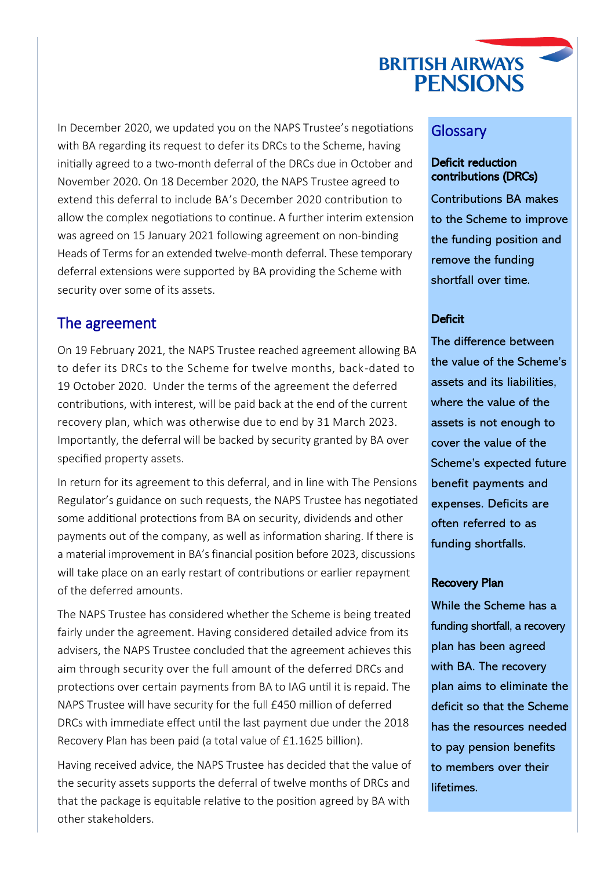# **BRITISH AIRWAYS PENSIONS**

In December 2020, we updated you on the NAPS Trustee's negotiations with BA regarding its request to defer its DRCs to the Scheme, having initially agreed to a two-month deferral of the DRCs due in October and November 2020. On 18 December 2020, the NAPS Trustee agreed to extend this deferral to include BA's December 2020 contribution to allow the complex negotiations to continue. A further interim extension was agreed on 15 January 2021 following agreement on non-binding Heads of Terms for an extended twelve-month deferral. These temporary deferral extensions were supported by BA providing the Scheme with security over some of its assets.

### The agreement

On 19 February 2021, the NAPS Trustee reached agreement allowing BA to defer its DRCs to the Scheme for twelve months, back-dated to 19 October 2020. Under the terms of the agreement the deferred contributions, with interest, will be paid back at the end of the current recovery plan, which was otherwise due to end by 31 March 2023. Importantly, the deferral will be backed by security granted by BA over specified property assets.

In return for its agreement to this deferral, and in line with The Pensions Regulator's guidance on such requests, the NAPS Trustee has negotiated some additional protections from BA on security, dividends and other payments out of the company, as well as information sharing. If there is a material improvement in BA's financial position before 2023, discussions will take place on an early restart of contributions or earlier repayment of the deferred amounts.

The NAPS Trustee has considered whether the Scheme is being treated fairly under the agreement. Having considered detailed advice from its advisers, the NAPS Trustee concluded that the agreement achieves this aim through security over the full amount of the deferred DRCs and protections over certain payments from BA to IAG until it is repaid. The NAPS Trustee will have security for the full £450 million of deferred DRCs with immediate effect until the last payment due under the 2018 Recovery Plan has been paid (a total value of £1.1625 billion).

Having received advice, the NAPS Trustee has decided that the value of the security assets supports the deferral of twelve months of DRCs and that the package is equitable relative to the position agreed by BA with other stakeholders.

#### **Glossary**

#### Deficit reduction contributions (DRCs)

Contributions BA makes to the Scheme to improve the funding position and remove the funding shortfall over time.

#### **Deficit**

The difference between the value of the Scheme's assets and its liabilities, where the value of the assets is not enough to cover the value of the Scheme's expected future benefit payments and expenses. Deficits are often referred to as funding shortfalls.

#### Recovery Plan

While the Scheme has a funding shortfall, a recovery plan has been agreed with BA. The recovery plan aims to eliminate the deficit so that the Scheme has the resources needed to pay pension benefits to members over their lifetimes.